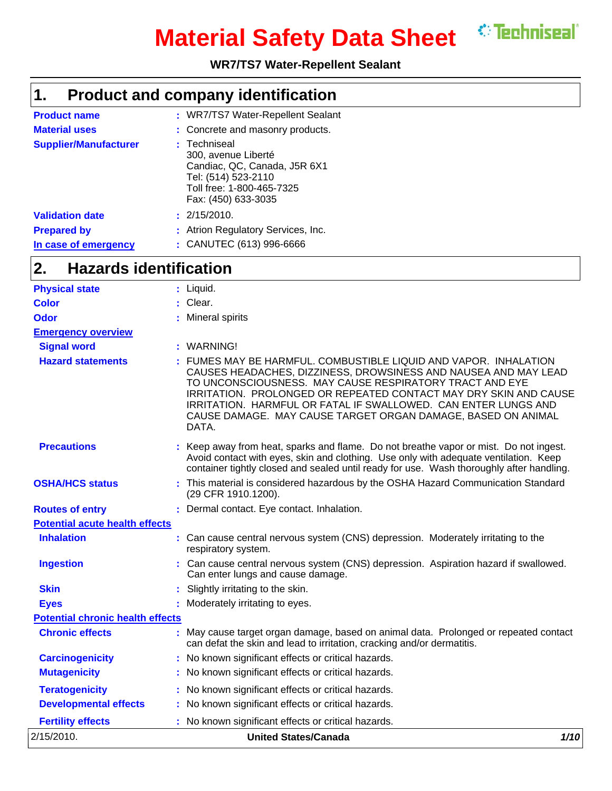

# **Material Safety Data Sheet**

### **WR7/TS7 Water-Repellent Sealant**

#### **Product and company identification 1.**

| <b>Product name</b>          | : WR7/TS7 Water-Repellent Sealant                                                                                                              |
|------------------------------|------------------------------------------------------------------------------------------------------------------------------------------------|
| <b>Material uses</b>         | : Concrete and masonry products.                                                                                                               |
| <b>Supplier/Manufacturer</b> | : Techniseal<br>300, avenue Liberté<br>Candiac, QC, Canada, J5R 6X1<br>Tel: (514) 523-2110<br>Toll free: 1-800-465-7325<br>Fax: (450) 633-3035 |
| <b>Validation date</b>       | : 2/15/2010.                                                                                                                                   |
| <b>Prepared by</b>           | : Atrion Regulatory Services, Inc.                                                                                                             |
| In case of emergency         | : CANUTEC (613) 996-6666                                                                                                                       |

#### **Hazards identification 2.**

| 2/15/2010.                              | <b>United States/Canada</b>                                                                                                                                                                                                                                                                                                                                                                                 | 1/10 |
|-----------------------------------------|-------------------------------------------------------------------------------------------------------------------------------------------------------------------------------------------------------------------------------------------------------------------------------------------------------------------------------------------------------------------------------------------------------------|------|
| <b>Fertility effects</b>                | No known significant effects or critical hazards.                                                                                                                                                                                                                                                                                                                                                           |      |
| <b>Developmental effects</b>            | : No known significant effects or critical hazards.                                                                                                                                                                                                                                                                                                                                                         |      |
| <b>Teratogenicity</b>                   | : No known significant effects or critical hazards.                                                                                                                                                                                                                                                                                                                                                         |      |
| <b>Mutagenicity</b>                     | : No known significant effects or critical hazards.                                                                                                                                                                                                                                                                                                                                                         |      |
| <b>Carcinogenicity</b>                  | : No known significant effects or critical hazards.                                                                                                                                                                                                                                                                                                                                                         |      |
| <b>Chronic effects</b>                  | : May cause target organ damage, based on animal data. Prolonged or repeated contact<br>can defat the skin and lead to irritation, cracking and/or dermatitis.                                                                                                                                                                                                                                              |      |
| <b>Potential chronic health effects</b> |                                                                                                                                                                                                                                                                                                                                                                                                             |      |
| <b>Eyes</b>                             | : Moderately irritating to eyes.                                                                                                                                                                                                                                                                                                                                                                            |      |
| <b>Skin</b>                             | Slightly irritating to the skin.                                                                                                                                                                                                                                                                                                                                                                            |      |
| <b>Ingestion</b>                        | : Can cause central nervous system (CNS) depression. Aspiration hazard if swallowed.<br>Can enter lungs and cause damage.                                                                                                                                                                                                                                                                                   |      |
| <b>Inhalation</b>                       | : Can cause central nervous system (CNS) depression. Moderately irritating to the<br>respiratory system.                                                                                                                                                                                                                                                                                                    |      |
| <b>Potential acute health effects</b>   |                                                                                                                                                                                                                                                                                                                                                                                                             |      |
| <b>Routes of entry</b>                  | : Dermal contact. Eye contact. Inhalation.                                                                                                                                                                                                                                                                                                                                                                  |      |
| <b>OSHA/HCS status</b>                  | : This material is considered hazardous by the OSHA Hazard Communication Standard<br>(29 CFR 1910.1200).                                                                                                                                                                                                                                                                                                    |      |
| <b>Precautions</b>                      | : Keep away from heat, sparks and flame. Do not breathe vapor or mist. Do not ingest.<br>Avoid contact with eyes, skin and clothing. Use only with adequate ventilation. Keep<br>container tightly closed and sealed until ready for use. Wash thoroughly after handling.                                                                                                                                   |      |
| <b>Hazard statements</b>                | FUMES MAY BE HARMFUL. COMBUSTIBLE LIQUID AND VAPOR. INHALATION<br>CAUSES HEADACHES, DIZZINESS, DROWSINESS AND NAUSEA AND MAY LEAD<br>TO UNCONSCIOUSNESS. MAY CAUSE RESPIRATORY TRACT AND EYE<br>IRRITATION. PROLONGED OR REPEATED CONTACT MAY DRY SKIN AND CAUSE<br>IRRITATION. HARMFUL OR FATAL IF SWALLOWED. CAN ENTER LUNGS AND<br>CAUSE DAMAGE. MAY CAUSE TARGET ORGAN DAMAGE, BASED ON ANIMAL<br>DATA. |      |
| <b>Signal word</b>                      | : WARNING!                                                                                                                                                                                                                                                                                                                                                                                                  |      |
| <b>Emergency overview</b>               |                                                                                                                                                                                                                                                                                                                                                                                                             |      |
| <b>Odor</b>                             | : Mineral spirits                                                                                                                                                                                                                                                                                                                                                                                           |      |
| <b>Color</b>                            | : Clear.                                                                                                                                                                                                                                                                                                                                                                                                    |      |
| <b>Physical state</b>                   | : Liquid.                                                                                                                                                                                                                                                                                                                                                                                                   |      |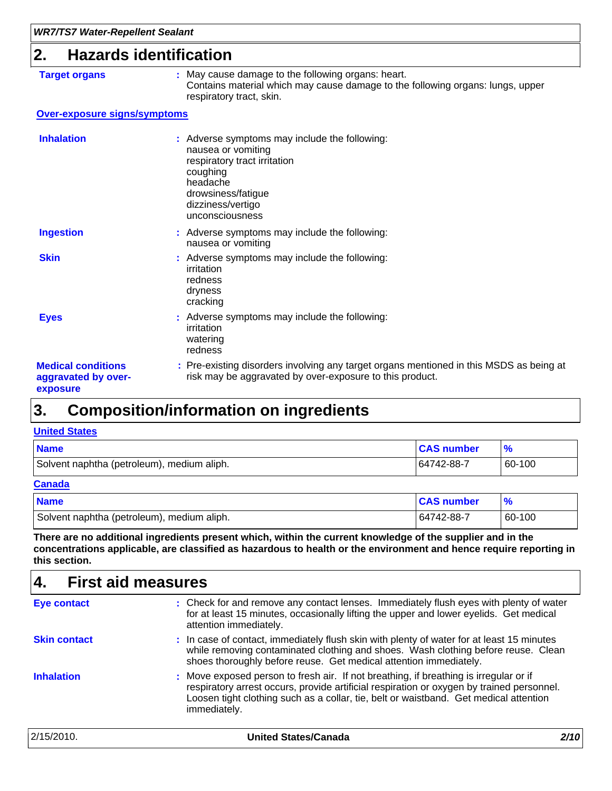### **2. Hazards identification**

| Target orgar |  |
|--------------|--|
|--------------|--|

**Target or Septem :** May cause damage to the following organs: heart. Contains material which may cause damage to the following organs: lungs, upper respiratory tract, skin.

#### **Over-exposure signs/symptoms**

| <b>Inhalation</b>                                            | : Adverse symptoms may include the following:<br>nausea or vomiting<br>respiratory tract irritation<br>coughing<br>headache<br>drowsiness/fatigue<br>dizziness/vertigo<br>unconsciousness |
|--------------------------------------------------------------|-------------------------------------------------------------------------------------------------------------------------------------------------------------------------------------------|
| <b>Ingestion</b>                                             | : Adverse symptoms may include the following:<br>nausea or vomiting                                                                                                                       |
| <b>Skin</b>                                                  | : Adverse symptoms may include the following:<br>irritation<br>redness<br>dryness<br>cracking                                                                                             |
| <b>Eyes</b>                                                  | : Adverse symptoms may include the following:<br>irritation<br>watering<br>redness                                                                                                        |
| <b>Medical conditions</b><br>aggravated by over-<br>exposure | : Pre-existing disorders involving any target organs mentioned in this MSDS as being at<br>risk may be aggravated by over-exposure to this product.                                       |

#### **Composition/information on ingredients 3.**

#### **United States**

| <b>Name</b>                                | <b>CAS number</b> |        |
|--------------------------------------------|-------------------|--------|
| Solvent naphtha (petroleum), medium aliph. | 64742-88-7        | 60-100 |
| <b>Canada</b>                              |                   |        |

| <b>Name</b>                                | <b>CAS number</b> | $\frac{9}{6}$ |
|--------------------------------------------|-------------------|---------------|
| Solvent naphtha (petroleum), medium aliph. | 64742-88-7        | 60-100        |

**There are no additional ingredients present which, within the current knowledge of the supplier and in the concentrations applicable, are classified as hazardous to health or the environment and hence require reporting in this section.**

| 4.                  | <b>First aid measures</b>                                                                                                                                                                                                                                                                   |      |
|---------------------|---------------------------------------------------------------------------------------------------------------------------------------------------------------------------------------------------------------------------------------------------------------------------------------------|------|
| <b>Eye contact</b>  | : Check for and remove any contact lenses. Immediately flush eyes with plenty of water<br>for at least 15 minutes, occasionally lifting the upper and lower eyelids. Get medical<br>attention immediately.                                                                                  |      |
| <b>Skin contact</b> | : In case of contact, immediately flush skin with plenty of water for at least 15 minutes<br>while removing contaminated clothing and shoes. Wash clothing before reuse. Clean<br>shoes thoroughly before reuse. Get medical attention immediately.                                         |      |
| <b>Inhalation</b>   | : Move exposed person to fresh air. If not breathing, if breathing is irregular or if<br>respiratory arrest occurs, provide artificial respiration or oxygen by trained personnel.<br>Loosen tight clothing such as a collar, tie, belt or waistband. Get medical attention<br>immediately. |      |
| 2/15/2010.          | <b>United States/Canada</b>                                                                                                                                                                                                                                                                 | 2/10 |

٦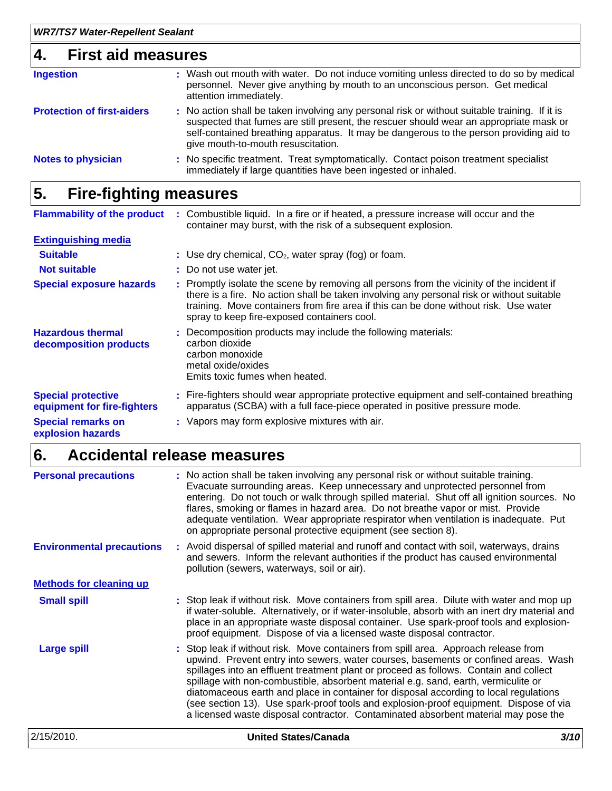### **4. First aid measures**

| <b>Ingestion</b>                  | : Wash out mouth with water. Do not induce vomiting unless directed to do so by medical<br>personnel. Never give anything by mouth to an unconscious person. Get medical<br>attention immediately.                                                                                                                      |
|-----------------------------------|-------------------------------------------------------------------------------------------------------------------------------------------------------------------------------------------------------------------------------------------------------------------------------------------------------------------------|
| <b>Protection of first-aiders</b> | : No action shall be taken involving any personal risk or without suitable training. If it is<br>suspected that fumes are still present, the rescuer should wear an appropriate mask or<br>self-contained breathing apparatus. It may be dangerous to the person providing aid to<br>give mouth-to-mouth resuscitation. |
| <b>Notes to physician</b>         | : No specific treatment. Treat symptomatically. Contact poison treatment specialist<br>immediately if large quantities have been ingested or inhaled.                                                                                                                                                                   |

#### **Fire-fighting measures 5.**

| <b>Flammability of the product</b>                       | : Combustible liquid. In a fire or if heated, a pressure increase will occur and the<br>container may burst, with the risk of a subsequent explosion.                                                                                                                                                                         |
|----------------------------------------------------------|-------------------------------------------------------------------------------------------------------------------------------------------------------------------------------------------------------------------------------------------------------------------------------------------------------------------------------|
| <b>Extinguishing media</b>                               |                                                                                                                                                                                                                                                                                                                               |
| <b>Suitable</b>                                          | : Use dry chemical, $CO2$ , water spray (fog) or foam.                                                                                                                                                                                                                                                                        |
| <b>Not suitable</b>                                      | : Do not use water jet.                                                                                                                                                                                                                                                                                                       |
| <b>Special exposure hazards</b>                          | : Promptly isolate the scene by removing all persons from the vicinity of the incident if<br>there is a fire. No action shall be taken involving any personal risk or without suitable<br>training. Move containers from fire area if this can be done without risk. Use water<br>spray to keep fire-exposed containers cool. |
| <b>Hazardous thermal</b><br>decomposition products       | : Decomposition products may include the following materials:<br>carbon dioxide<br>carbon monoxide<br>metal oxide/oxides<br>Emits toxic fumes when heated.                                                                                                                                                                    |
| <b>Special protective</b><br>equipment for fire-fighters | : Fire-fighters should wear appropriate protective equipment and self-contained breathing<br>apparatus (SCBA) with a full face-piece operated in positive pressure mode.                                                                                                                                                      |
| <b>Special remarks on</b><br>explosion hazards           | : Vapors may form explosive mixtures with air.                                                                                                                                                                                                                                                                                |

#### **Accidental release measures 6.**

| 2/15/2010.                       | <b>United States/Canada</b>                                                                                                                                                                                                                                                                                                                                                                                                                                                                                                                                                                                                       | 3/10 |
|----------------------------------|-----------------------------------------------------------------------------------------------------------------------------------------------------------------------------------------------------------------------------------------------------------------------------------------------------------------------------------------------------------------------------------------------------------------------------------------------------------------------------------------------------------------------------------------------------------------------------------------------------------------------------------|------|
| <b>Large spill</b>               | : Stop leak if without risk. Move containers from spill area. Approach release from<br>upwind. Prevent entry into sewers, water courses, basements or confined areas. Wash<br>spillages into an effluent treatment plant or proceed as follows. Contain and collect<br>spillage with non-combustible, absorbent material e.g. sand, earth, vermiculite or<br>diatomaceous earth and place in container for disposal according to local regulations<br>(see section 13). Use spark-proof tools and explosion-proof equipment. Dispose of via<br>a licensed waste disposal contractor. Contaminated absorbent material may pose the |      |
| <b>Small spill</b>               | : Stop leak if without risk. Move containers from spill area. Dilute with water and mop up<br>if water-soluble. Alternatively, or if water-insoluble, absorb with an inert dry material and<br>place in an appropriate waste disposal container. Use spark-proof tools and explosion-<br>proof equipment. Dispose of via a licensed waste disposal contractor.                                                                                                                                                                                                                                                                    |      |
| <b>Methods for cleaning up</b>   |                                                                                                                                                                                                                                                                                                                                                                                                                                                                                                                                                                                                                                   |      |
| <b>Environmental precautions</b> | : Avoid dispersal of spilled material and runoff and contact with soil, waterways, drains<br>and sewers. Inform the relevant authorities if the product has caused environmental<br>pollution (sewers, waterways, soil or air).                                                                                                                                                                                                                                                                                                                                                                                                   |      |
| <b>Personal precautions</b>      | : No action shall be taken involving any personal risk or without suitable training.<br>Evacuate surrounding areas. Keep unnecessary and unprotected personnel from<br>entering. Do not touch or walk through spilled material. Shut off all ignition sources. No<br>flares, smoking or flames in hazard area. Do not breathe vapor or mist. Provide<br>adequate ventilation. Wear appropriate respirator when ventilation is inadequate. Put<br>on appropriate personal protective equipment (see section 8).                                                                                                                    |      |
|                                  |                                                                                                                                                                                                                                                                                                                                                                                                                                                                                                                                                                                                                                   |      |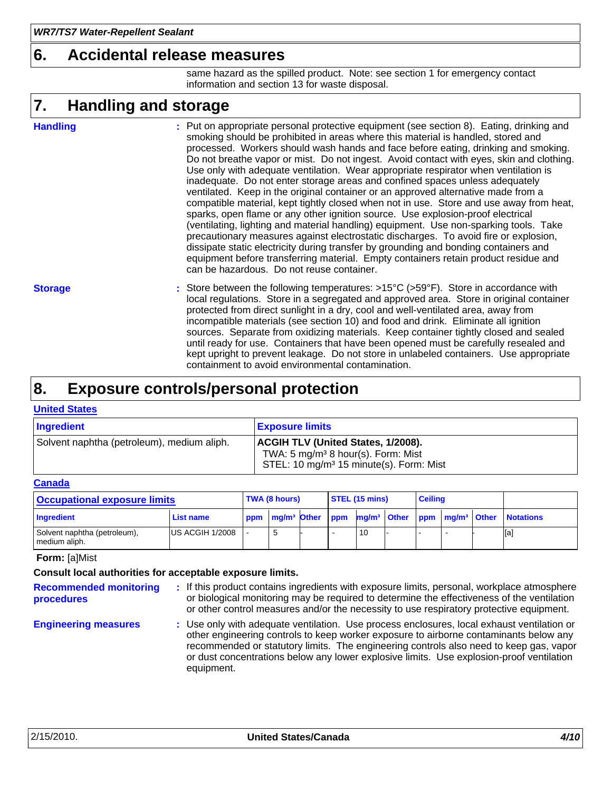### **6. Accidental release measures**

same hazard as the spilled product. Note: see section 1 for emergency contact information and section 13 for waste disposal.

#### **Handling and storage 7.**

#### **Handling**

Put on appropriate personal protective equipment (see section 8). Eating, drinking and **:** smoking should be prohibited in areas where this material is handled, stored and processed. Workers should wash hands and face before eating, drinking and smoking. Do not breathe vapor or mist. Do not ingest. Avoid contact with eyes, skin and clothing. Use only with adequate ventilation. Wear appropriate respirator when ventilation is inadequate. Do not enter storage areas and confined spaces unless adequately ventilated. Keep in the original container or an approved alternative made from a compatible material, kept tightly closed when not in use. Store and use away from heat, sparks, open flame or any other ignition source. Use explosion-proof electrical (ventilating, lighting and material handling) equipment. Use non-sparking tools. Take precautionary measures against electrostatic discharges. To avoid fire or explosion, dissipate static electricity during transfer by grounding and bonding containers and equipment before transferring material. Empty containers retain product residue and can be hazardous. Do not reuse container.

Store between the following temperatures: >15°C (>59°F). Store in accordance with **:** local regulations. Store in a segregated and approved area. Store in original container protected from direct sunlight in a dry, cool and well-ventilated area, away from incompatible materials (see section 10) and food and drink. Eliminate all ignition sources. Separate from oxidizing materials. Keep container tightly closed and sealed until ready for use. Containers that have been opened must be carefully resealed and kept upright to prevent leakage. Do not store in unlabeled containers. Use appropriate containment to avoid environmental contamination. **Storage**

#### **Exposure controls/personal protection 8.**

#### **United States**

| Ingredient                                 | <b>Exposure limits</b>                                                                                                                             |
|--------------------------------------------|----------------------------------------------------------------------------------------------------------------------------------------------------|
| Solvent naphtha (petroleum), medium aliph. | <b>ACGIH TLV (United States, 1/2008).</b><br>TWA: 5 mg/m <sup>3</sup> 8 hour(s). Form: Mist<br>STEL: 10 mg/m <sup>3</sup> 15 minute(s). Form: Mist |

#### **Canada**

| <b>Occupational exposure limits</b>           |                        |     | <b>TWA (8 hours)</b>        |  |  | STEL (15 mins) |  |  | <b>Ceiling</b> |  |                                                               |
|-----------------------------------------------|------------------------|-----|-----------------------------|--|--|----------------|--|--|----------------|--|---------------------------------------------------------------|
| Ingredient                                    | <b>List name</b>       | ppm | mg/m <sup>3</sup> Other ppm |  |  |                |  |  |                |  | mg/m <sup>3</sup> Other ppm mg/m <sup>3</sup> Other Notations |
| Solvent naphtha (petroleum),<br>medium aliph. | <b>US ACGIH 1/2008</b> |     |                             |  |  | 10             |  |  |                |  | [a]                                                           |

#### **Form:** [a]Mist

#### **Consult local authorities for acceptable exposure limits.**

**Recommended monitoring procedures**

**:** If this product contains ingredients with exposure limits, personal, workplace atmosphere or biological monitoring may be required to determine the effectiveness of the ventilation or other control measures and/or the necessity to use respiratory protective equipment.

**Engineering measures :** Use only with adequate ventilation. Use process enclosures, local exhaust ventilation or other engineering controls to keep worker exposure to airborne contaminants below any recommended or statutory limits. The engineering controls also need to keep gas, vapor or dust concentrations below any lower explosive limits. Use explosion-proof ventilation equipment.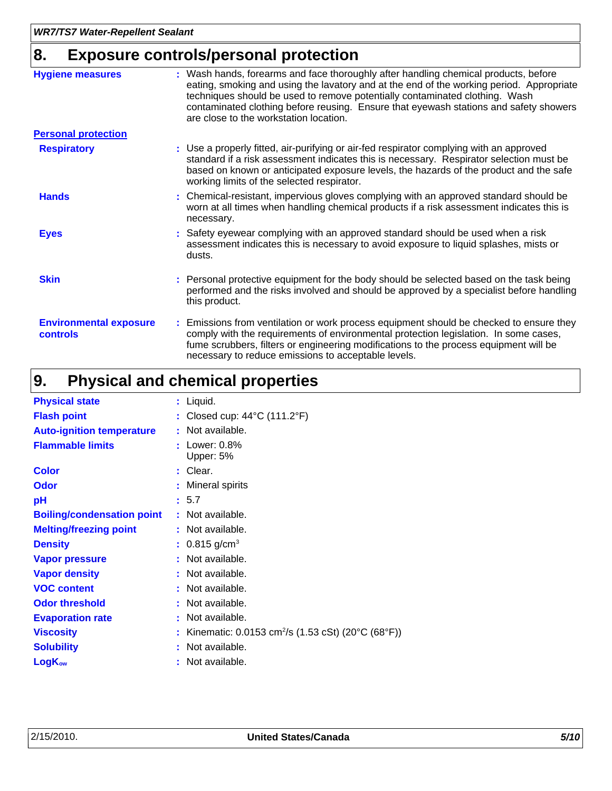## **8. Exposure controls/personal protection**

| <b>Hygiene measures</b>                          | : Wash hands, forearms and face thoroughly after handling chemical products, before<br>eating, smoking and using the lavatory and at the end of the working period. Appropriate<br>techniques should be used to remove potentially contaminated clothing. Wash<br>contaminated clothing before reusing. Ensure that eyewash stations and safety showers<br>are close to the workstation location. |
|--------------------------------------------------|---------------------------------------------------------------------------------------------------------------------------------------------------------------------------------------------------------------------------------------------------------------------------------------------------------------------------------------------------------------------------------------------------|
| <b>Personal protection</b>                       |                                                                                                                                                                                                                                                                                                                                                                                                   |
| <b>Respiratory</b>                               | : Use a properly fitted, air-purifying or air-fed respirator complying with an approved<br>standard if a risk assessment indicates this is necessary. Respirator selection must be<br>based on known or anticipated exposure levels, the hazards of the product and the safe<br>working limits of the selected respirator.                                                                        |
| <b>Hands</b>                                     | : Chemical-resistant, impervious gloves complying with an approved standard should be<br>worn at all times when handling chemical products if a risk assessment indicates this is<br>necessary.                                                                                                                                                                                                   |
| <b>Eyes</b>                                      | : Safety eyewear complying with an approved standard should be used when a risk<br>assessment indicates this is necessary to avoid exposure to liquid splashes, mists or<br>dusts.                                                                                                                                                                                                                |
| <b>Skin</b>                                      | : Personal protective equipment for the body should be selected based on the task being<br>performed and the risks involved and should be approved by a specialist before handling<br>this product.                                                                                                                                                                                               |
| <b>Environmental exposure</b><br><b>controls</b> | : Emissions from ventilation or work process equipment should be checked to ensure they<br>comply with the requirements of environmental protection legislation. In some cases,<br>fume scrubbers, filters or engineering modifications to the process equipment will be<br>necessary to reduce emissions to acceptable levels.                                                                   |

#### **Physical and chemical properties 9.**

| <b>Physical state</b>             | : Liquid.                                                       |
|-----------------------------------|-----------------------------------------------------------------|
| <b>Flash point</b>                | : Closed cup: $44^{\circ}$ C (111.2°F)                          |
| <b>Auto-ignition temperature</b>  | : Not available.                                                |
| <b>Flammable limits</b>           | $:$ Lower: $0.8\%$<br>Upper: 5%                                 |
| <b>Color</b>                      | : Clear.                                                        |
| Odor                              | : Mineral spirits                                               |
| pH                                | : 5.7                                                           |
| <b>Boiling/condensation point</b> | : Not available.                                                |
| <b>Melting/freezing point</b>     | : Not available.                                                |
| <b>Density</b>                    | : $0.815$ g/cm <sup>3</sup>                                     |
| <b>Vapor pressure</b>             | : Not available.                                                |
| <b>Vapor density</b>              | : Not available.                                                |
| <b>VOC content</b>                | : Not available.                                                |
| <b>Odor threshold</b>             | : Not available.                                                |
| <b>Evaporation rate</b>           | : Not available.                                                |
| <b>Viscosity</b>                  | : Kinematic: 0.0153 cm <sup>2</sup> /s (1.53 cSt) (20°C (68°F)) |
| <b>Solubility</b>                 | : Not available.                                                |
| <b>LogKow</b>                     | : Not available.                                                |
|                                   |                                                                 |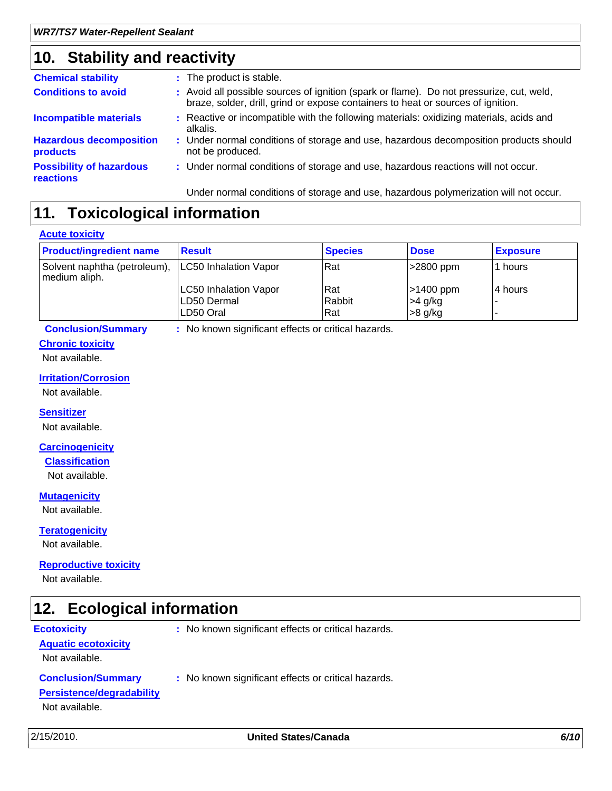### **Stability and reactivity 10.**

| <b>Chemical stability</b>                    | : The product is stable.                                                                                                                                                     |
|----------------------------------------------|------------------------------------------------------------------------------------------------------------------------------------------------------------------------------|
| <b>Conditions to avoid</b>                   | : Avoid all possible sources of ignition (spark or flame). Do not pressurize, cut, weld,<br>braze, solder, drill, grind or expose containers to heat or sources of ignition. |
| <b>Incompatible materials</b>                | : Reactive or incompatible with the following materials: oxidizing materials, acids and<br>alkalis.                                                                          |
| <b>Hazardous decomposition</b><br>products   | : Under normal conditions of storage and use, hazardous decomposition products should<br>not be produced.                                                                    |
| <b>Possibility of hazardous</b><br>reactions | : Under normal conditions of storage and use, hazardous reactions will not occur.                                                                                            |
|                                              | Under normal conditions of storage and use, hazardous polymerization will not occur.                                                                                         |

### **11. Toxicological information**

#### **Acute toxicity**

| <b>Product/ingredient name</b>                | <b>Result</b>                | <b>Species</b> | <b>Dose</b> | <b>Exposure</b> |
|-----------------------------------------------|------------------------------|----------------|-------------|-----------------|
| Solvent naphtha (petroleum),<br>medium aliph. | <b>LC50 Inhalation Vapor</b> | Rat            | >2800 ppm   | 1 hours         |
|                                               | <b>LC50 Inhalation Vapor</b> | Rat            | $>1400$ ppm | 14 hours        |
|                                               | LD50 Dermal                  | Rabbit         | >4 g/kg     |                 |
|                                               | LD50 Oral                    | Rat            | $>8$ g/kg   |                 |

**Conclusion/Summary :** No known significant effects or critical hazards.

### **Chronic toxicity**

### Not available.

#### **Irritation/Corrosion**

Not available.

#### **Sensitizer**

Not available.

#### **Carcinogenicity**

#### **Classification**

Not available.

#### **Mutagenicity**

Not available.

#### **Teratogenicity**

Not available.

#### **Reproductive toxicity**

Not available.

#### **Ecological information 12.**

**Ecotoxicity** : No known significant effects or critical hazards. **Aquatic ecotoxicity** Not available. **Conclusion/Summary :** No known significant effects or critical hazards. **Persistence/degradability** Not available.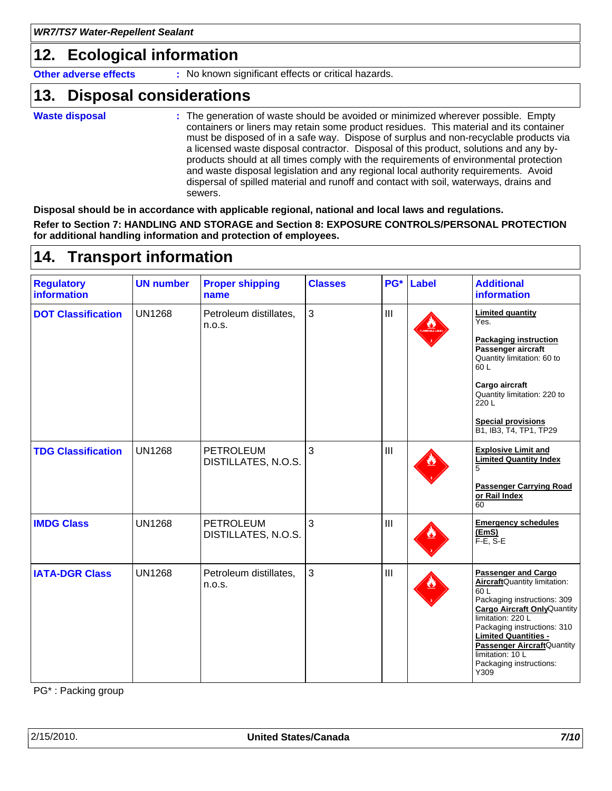### **12. Ecological information**

**Other adverse effects** : No known significant effects or critical hazards.

#### **Disposal considerations 13.**

- **Waste disposal**
- The generation of waste should be avoided or minimized wherever possible. Empty **:** containers or liners may retain some product residues. This material and its container must be disposed of in a safe way. Dispose of surplus and non-recyclable products via a licensed waste disposal contractor. Disposal of this product, solutions and any byproducts should at all times comply with the requirements of environmental protection and waste disposal legislation and any regional local authority requirements. Avoid dispersal of spilled material and runoff and contact with soil, waterways, drains and sewers.

**Disposal should be in accordance with applicable regional, national and local laws and regulations. Refer to Section 7: HANDLING AND STORAGE and Section 8: EXPOSURE CONTROLS/PERSONAL PROTECTION for additional handling information and protection of employees.**

#### **Transport information 14.**

| <b>Regulatory</b><br><b>information</b> | <b>UN number</b> | <b>Proper shipping</b><br>name          | <b>Classes</b> | PG* | Label | <b>Additional</b><br><b>information</b>                                                                                                                                                                                                                                                                                     |
|-----------------------------------------|------------------|-----------------------------------------|----------------|-----|-------|-----------------------------------------------------------------------------------------------------------------------------------------------------------------------------------------------------------------------------------------------------------------------------------------------------------------------------|
| <b>DOT Classification</b>               | <b>UN1268</b>    | Petroleum distillates,<br>n.o.s.        | 3              | III |       | <b>Limited quantity</b><br>Yes.<br><b>Packaging instruction</b><br>Passenger aircraft<br>Quantity limitation: 60 to<br>60L<br>Cargo aircraft<br>Quantity limitation: 220 to<br>220 L<br><b>Special provisions</b><br>B1, IB3, T4, TP1, TP29                                                                                 |
| <b>TDG Classification</b>               | <b>UN1268</b>    | <b>PETROLEUM</b><br>DISTILLATES, N.O.S. | 3              | III |       | <b>Explosive Limit and</b><br><b>Limited Quantity Index</b><br>5<br><b>Passenger Carrying Road</b><br>or Rail Index<br>60                                                                                                                                                                                                   |
| <b>IMDG Class</b>                       | <b>UN1268</b>    | <b>PETROLEUM</b><br>DISTILLATES, N.O.S. | 3              | III |       | <b>Emergency schedules</b><br>(EmS)<br>$F-E$ , S-E                                                                                                                                                                                                                                                                          |
| <b>IATA-DGR Class</b>                   | <b>UN1268</b>    | Petroleum distillates,<br>n.o.s.        | 3              | III |       | <b>Passenger and Cargo</b><br>AircraftQuantity limitation:<br>60 <sub>L</sub><br>Packaging instructions: 309<br><b>Cargo Aircraft Only Quantity</b><br>limitation: 220 L<br>Packaging instructions: 310<br><b>Limited Quantities -</b><br>Passenger AircraftQuantity<br>limitation: 10 L<br>Packaging instructions:<br>Y309 |

PG\* : Packing group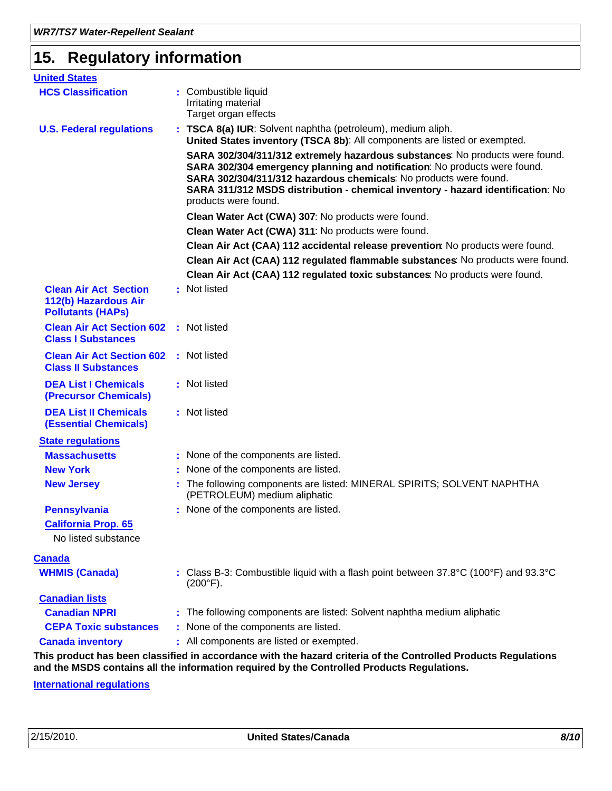### **15. Regulatory information**

| <b>United States</b>                                                             |                                                                                                                                                                                                                                                                                                                                           |
|----------------------------------------------------------------------------------|-------------------------------------------------------------------------------------------------------------------------------------------------------------------------------------------------------------------------------------------------------------------------------------------------------------------------------------------|
| <b>HCS Classification</b>                                                        | : Combustible liquid<br>Irritating material<br>Target organ effects                                                                                                                                                                                                                                                                       |
| <b>U.S. Federal regulations</b>                                                  | : TSCA 8(a) IUR: Solvent naphtha (petroleum), medium aliph.<br>United States inventory (TSCA 8b): All components are listed or exempted.                                                                                                                                                                                                  |
|                                                                                  | SARA 302/304/311/312 extremely hazardous substances: No products were found.<br>SARA 302/304 emergency planning and notification: No products were found.<br>SARA 302/304/311/312 hazardous chemicals: No products were found.<br>SARA 311/312 MSDS distribution - chemical inventory - hazard identification: No<br>products were found. |
|                                                                                  | Clean Water Act (CWA) 307: No products were found.                                                                                                                                                                                                                                                                                        |
|                                                                                  | Clean Water Act (CWA) 311: No products were found.                                                                                                                                                                                                                                                                                        |
|                                                                                  | Clean Air Act (CAA) 112 accidental release prevention: No products were found.                                                                                                                                                                                                                                                            |
|                                                                                  | Clean Air Act (CAA) 112 regulated flammable substances: No products were found.                                                                                                                                                                                                                                                           |
|                                                                                  | Clean Air Act (CAA) 112 regulated toxic substances: No products were found.                                                                                                                                                                                                                                                               |
| <b>Clean Air Act Section</b><br>112(b) Hazardous Air<br><b>Pollutants (HAPs)</b> | : Not listed                                                                                                                                                                                                                                                                                                                              |
| <b>Clean Air Act Section 602</b><br><b>Class I Substances</b>                    | : Not listed                                                                                                                                                                                                                                                                                                                              |
| <b>Clean Air Act Section 602</b><br><b>Class II Substances</b>                   | : Not listed                                                                                                                                                                                                                                                                                                                              |
| <b>DEA List I Chemicals</b><br>(Precursor Chemicals)                             | : Not listed                                                                                                                                                                                                                                                                                                                              |
| <b>DEA List II Chemicals</b><br><b>(Essential Chemicals)</b>                     | : Not listed                                                                                                                                                                                                                                                                                                                              |
| <b>State regulations</b>                                                         |                                                                                                                                                                                                                                                                                                                                           |
| <b>Massachusetts</b>                                                             | : None of the components are listed.                                                                                                                                                                                                                                                                                                      |
| <b>New York</b>                                                                  | : None of the components are listed.                                                                                                                                                                                                                                                                                                      |
| <b>New Jersey</b>                                                                | : The following components are listed: MINERAL SPIRITS; SOLVENT NAPHTHA<br>(PETROLEUM) medium aliphatic                                                                                                                                                                                                                                   |
| <b>Pennsylvania</b>                                                              | : None of the components are listed.                                                                                                                                                                                                                                                                                                      |
| <b>California Prop. 65</b>                                                       |                                                                                                                                                                                                                                                                                                                                           |
| No listed substance                                                              |                                                                                                                                                                                                                                                                                                                                           |
| <b>Canada</b>                                                                    |                                                                                                                                                                                                                                                                                                                                           |
| <b>WHMIS (Canada)</b>                                                            | : Class B-3: Combustible liquid with a flash point between $37.8^{\circ}$ C (100 $^{\circ}$ F) and 93.3 $^{\circ}$ C<br>$(200^{\circ}F).$                                                                                                                                                                                                 |
| <b>Canadian lists</b>                                                            |                                                                                                                                                                                                                                                                                                                                           |
| <b>Canadian NPRI</b>                                                             | : The following components are listed: Solvent naphtha medium aliphatic                                                                                                                                                                                                                                                                   |
| <b>CEPA Toxic substances</b>                                                     | : None of the components are listed.                                                                                                                                                                                                                                                                                                      |
| <b>Canada inventory</b>                                                          | : All components are listed or exempted.                                                                                                                                                                                                                                                                                                  |
|                                                                                  | This product has been classified in accordance with the hazard criteria of the Controlled Products Regulations<br>and the MSDS contains all the information required by the Controlled Products Regulations.                                                                                                                              |

**International regulations**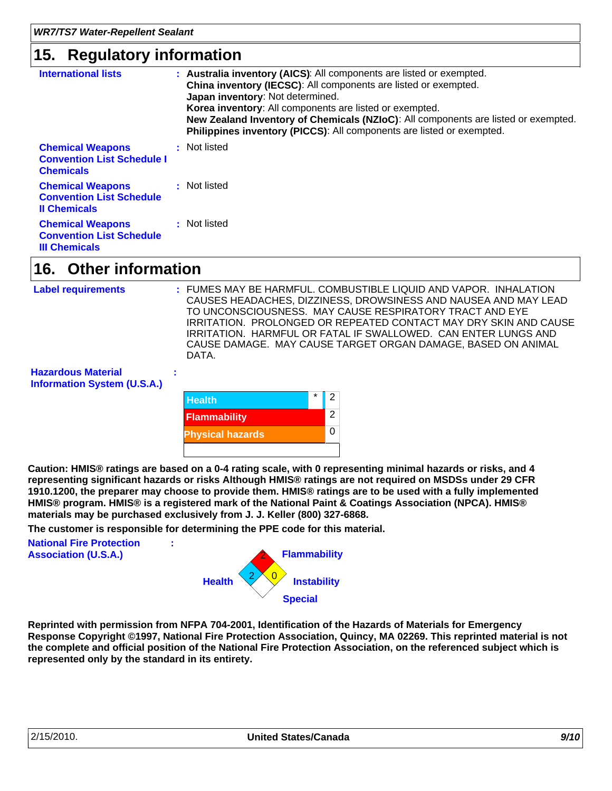### **15. Regulatory information**

| ີ                                                                                  |                                                                                                                                                                                                                                                                                                                                                                                                       |
|------------------------------------------------------------------------------------|-------------------------------------------------------------------------------------------------------------------------------------------------------------------------------------------------------------------------------------------------------------------------------------------------------------------------------------------------------------------------------------------------------|
| <b>International lists</b>                                                         | : Australia inventory (AICS): All components are listed or exempted.<br>China inventory (IECSC): All components are listed or exempted.<br>Japan inventory: Not determined.<br>Korea inventory: All components are listed or exempted.<br>New Zealand Inventory of Chemicals (NZIoC): All components are listed or exempted.<br>Philippines inventory (PICCS): All components are listed or exempted. |
| <b>Chemical Weapons</b><br><b>Convention List Schedule I</b><br><b>Chemicals</b>   | : Not listed                                                                                                                                                                                                                                                                                                                                                                                          |
| <b>Chemical Weapons</b><br><b>Convention List Schedule</b><br><b>Il Chemicals</b>  | : Not listed                                                                                                                                                                                                                                                                                                                                                                                          |
| <b>Chemical Weapons</b><br><b>Convention List Schedule</b><br><b>III Chemicals</b> | : Not listed                                                                                                                                                                                                                                                                                                                                                                                          |

#### **Other information 16.**

```
Label requirements :
```
FUMES MAY BE HARMFUL. COMBUSTIBLE LIQUID AND VAPOR. INHALATION CAUSES HEADACHES, DIZZINESS, DROWSINESS AND NAUSEA AND MAY LEAD TO UNCONSCIOUSNESS. MAY CAUSE RESPIRATORY TRACT AND EYE IRRITATION. PROLONGED OR REPEATED CONTACT MAY DRY SKIN AND CAUSE IRRITATION. HARMFUL OR FATAL IF SWALLOWED. CAN ENTER LUNGS AND CAUSE DAMAGE. MAY CAUSE TARGET ORGAN DAMAGE, BASED ON ANIMAL DATA.

**Hazardous Material Information System (U.S.A.)**

| <b>Health</b>           | $^\star$ | 2 |
|-------------------------|----------|---|
| <b>Flammability</b>     |          | 2 |
| <b>Physical hazards</b> |          |   |
|                         |          |   |

**Caution: HMIS® ratings are based on a 0-4 rating scale, with 0 representing minimal hazards or risks, and 4 representing significant hazards or risks Although HMIS® ratings are not required on MSDSs under 29 CFR 1910.1200, the preparer may choose to provide them. HMIS® ratings are to be used with a fully implemented HMIS® program. HMIS® is a registered mark of the National Paint & Coatings Association (NPCA). HMIS® materials may be purchased exclusively from J. J. Keller (800) 327-6868.**

**The customer is responsible for determining the PPE code for this material.**



**:**

**Reprinted with permission from NFPA 704-2001, Identification of the Hazards of Materials for Emergency Response Copyright ©1997, National Fire Protection Association, Quincy, MA 02269. This reprinted material is not the complete and official position of the National Fire Protection Association, on the referenced subject which is represented only by the standard in its entirety.**